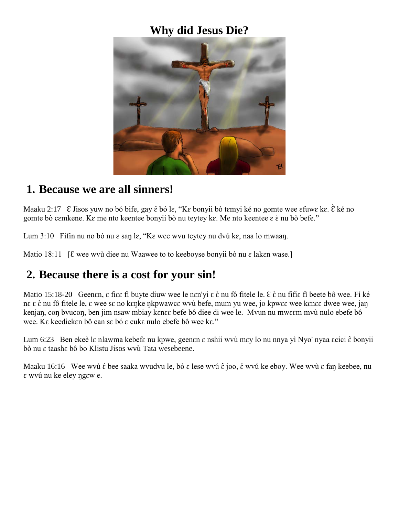#### **Why did Jesus Die?**



#### **1. Because we are all sinners!**

Maaku 2:17 Ɛ Jisos yuw no bó bife, gay ɛ̂ bó lɛ, "Kɛ bonyii bò tɛmyi ké no gomte wee ɛfuwɛ kɛ. Ɛ̀ ké no gomte bò cɛmkene. Kɛ me nto keentee bonyii bò nu teytey kɛ. Me nto keentee ɛ ɛ̀ nu bò befe."

Lum 3:10 Fifin nu no bó nu  $\varepsilon$  san l $\varepsilon$ , "K $\varepsilon$  wee wvu teytey nu dvú k $\varepsilon$ , naa lo mwaan.

Matio 18:11 [ $\epsilon$  wee wvù diee nu Waawee to to keeboyse bonyii bò nu  $\epsilon$  laken wase.]

### **2. Because there is a cost for your sin!**

Matio 15:18-20 Geen $\epsilon$ n,  $\epsilon$  fi $\epsilon$ e fi buyte diuw wee le n $\epsilon$ n'yi  $\epsilon$  è nu fô fitele le.  $\epsilon$  è nu fifi $\epsilon$  fi beete bô wee. Fí ké nɛ ɛ ɛ̀ nu fô fitele le, ɛ wee sɛ no kɛŋke ŋkpwawcɛ wvù befe, mum yu wee, jo kpwɛɛ wee kɛnɛɛ dwee wee, jaŋ kenjan, con bvucon, ben jim nsaw mbiay k $\epsilon$ ne befe bô diee di wee le. Mvun nu mwe $\epsilon$ m mvù nulo ebefe bô wee. Kε keediekεn bô can sε bó ε cukε nulo ebefe bô wee kε."

Lum 6:23 Ben ekeè lɛ nlawma kebefɛ nu kpwe, geenɛn ɛ nshii wvù mɛy lo nu nnya yì Nyo' nyaa ɛcici ɛ̂ bonyii bò nu ɛ taashɛ bô bo Klistu Jisos wvù Tata wesebeene.

Maaku 16:16 Wee wvù  $\acute{\textbf{e}}$  bee saaka wvudvu le, bó  $\bm{\epsilon}$  lese wvú  $\hat{\bm{\epsilon}}$  joo,  $\acute{\textbf{e}}$  wvú ke eboy. Wee wvù  $\bm{\epsilon}$  faŋ keebee, nu ɛ wvú nu ke eley ŋgɛw e.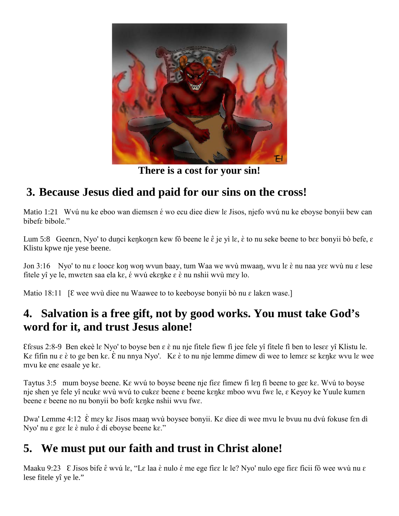

**There is a cost for your sin!**

# **3. Because Jesus died and paid for our sins on the cross!**

Matio 1:21 Wvú nu ke eboo wan diemsen é wo ecu diee diew le Jisos, njefo wvú nu ke eboyse bonyii bew can bibef<sub>e</sub> bibole."

Lum 5:8 Geenen, Nyo' to duŋci keŋkoŋɛn kew fô beene le  $\hat{\epsilon}$  je yì lɛ, è to nu seke beene to bɛɛ bonyii bò befe, ɛ Klistu kpwe nje yese beene.

Jon 3:16 Nyo' to nu ɛ loocɛ koŋ woŋ wvun baay, tum Waa we wvù mwaaŋ, wvu lɛ ɛ̀ nu naa yɛɛ wvù nu ɛ lese fitele yî ye le, mwɛtɛn saa ela kɛ, ɛ́ wvú ekɛŋke ɛ ɛ̀ nu nshii wvù mɛy lo.

Matio 18:11 [ $\epsilon$  wee wvù diee nu Waawee to to keeboyse bonyii bò nu  $\epsilon$  laken wase.]

## **4. Salvation is a free gift, not by good works. You must take God's word for it, and trust Jesus alone!**

Ɛfɛsus 2:8-9 Ben ekeè lɛ Nyo' to boyse ben ɛ ɛ̀ nu nje fitele fiew fì jee fele yî fitele fì ben to lesɛɛ yî Klistu le. Kε fifin nu ε è to ge ben kε. È nu nnya Nyo'. Kε è to nu nje lemme dimew dì wee to lemεε sε kεŋkε wvu lε wee mvu ke enɛ esaale ye kɛ.

Taytus 3:5 mum boyse beene. Kɛ wvú to boyse beene nje fiɛɛ fimew fi lɛŋ fì beene to geɛ kɛ. Wvú to boyse nje shen ye fele yî ncukε wvù wvú to cukεε beene ε beene kεηkε mboo wvu fwε le, ε Keyoy ke Yuule kumεn beene ɛ beene no nu bonyii bo bofɛ kɛŋke nshii wvu fwɛ.

Dwa' Lemme 4:12  $\hat{\epsilon}$  mey ke Jisos maan wvù boysee bonyii. Ke diee di wee mvu le bvuu nu dvú fokuse fen dì Nyo' nu ε gεε le è nulo é dí eboyse beene kε."

# **5. We must put our faith and trust in Christ alone!**

Maaku 9:23 E Jisos bife  $\hat{\epsilon}$  wvú l $\epsilon$ , "Le laa è nulo é me ege fi $\epsilon \epsilon$  le le? Nyo' nulo ege fi $\epsilon \epsilon$  ficii fô wee wvù nu  $\epsilon$ lese fitele yî ye le."